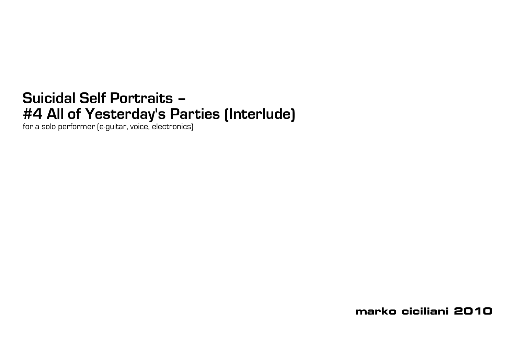## **Suicidal Self Portraits – #4 All of Yesterday's Parties (Interlude)**

for a solo performer (e-guitar, voice, electronics)

**marko ciciliani 2010**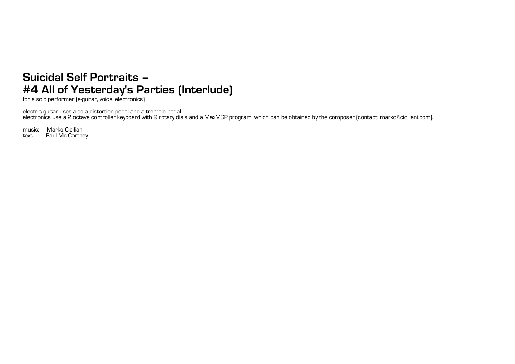## **Suicidal Self Portraits – #4 All of Yesterday's Parties (Interlude)**

for a solo performer (e-guitar, voice, electronics)

electric guitar uses also a distortion pedal and a tremolo pedal. electronics use a 2 octave controller keyboard with 9 rotary dials and a MaxMSP program, which can be obtained by the composer (contact: marko@ciciliani.com).

music: Marko Ciciliani<br>text: Paul Mc Cartne Paul Mc Cartney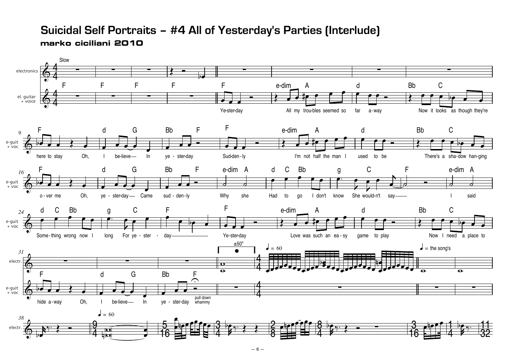## **Suicidal Self Portraits – #4 All of Yesterday's Parties (Interlude) marko ciciliani 2010**

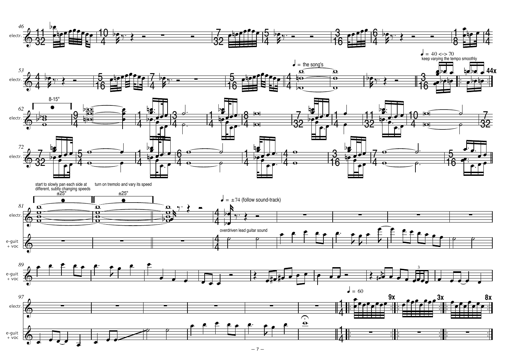